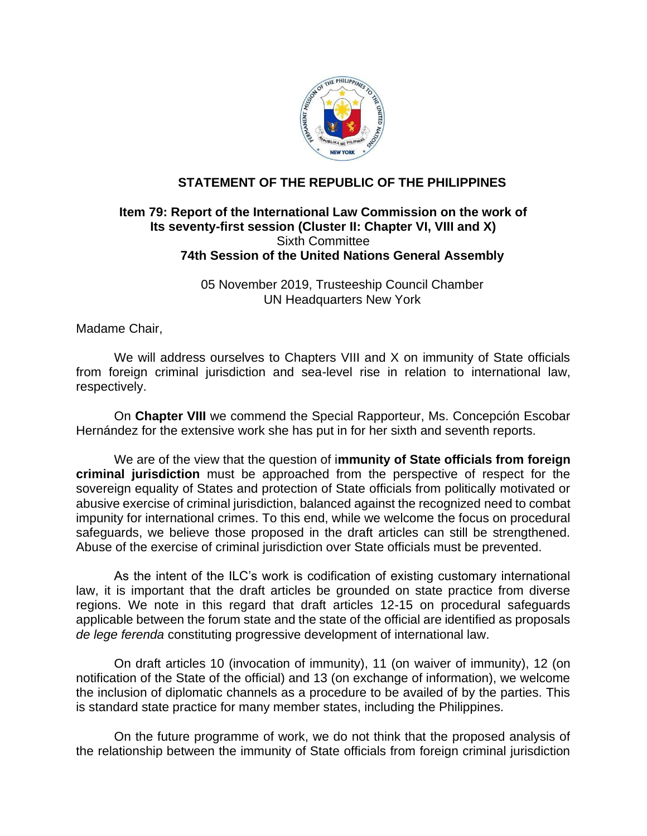

## **STATEMENT OF THE REPUBLIC OF THE PHILIPPINES**

## **Item 79: Report of the International Law Commission on the work of Its seventy-first session (Cluster II: Chapter VI, VIII and X)**  Sixth Committee **74th Session of the United Nations General Assembly**

05 November 2019, Trusteeship Council Chamber UN Headquarters New York

Madame Chair,

We will address ourselves to Chapters VIII and X on immunity of State officials from foreign criminal jurisdiction and sea-level rise in relation to international law, respectively.

On **Chapter VIII** we commend the Special Rapporteur, Ms. Concepción Escobar Hernández for the extensive work she has put in for her sixth and seventh reports.

We are of the view that the question of i**mmunity of State officials from foreign criminal jurisdiction** must be approached from the perspective of respect for the sovereign equality of States and protection of State officials from politically motivated or abusive exercise of criminal jurisdiction, balanced against the recognized need to combat impunity for international crimes. To this end, while we welcome the focus on procedural safeguards, we believe those proposed in the draft articles can still be strengthened. Abuse of the exercise of criminal jurisdiction over State officials must be prevented.

As the intent of the ILC's work is codification of existing customary international law, it is important that the draft articles be grounded on state practice from diverse regions. We note in this regard that draft articles 12-15 on procedural safeguards applicable between the forum state and the state of the official are identified as proposals *de lege ferenda* constituting progressive development of international law.

On draft articles 10 (invocation of immunity), 11 (on waiver of immunity), 12 (on notification of the State of the official) and 13 (on exchange of information), we welcome the inclusion of diplomatic channels as a procedure to be availed of by the parties. This is standard state practice for many member states, including the Philippines.

On the future programme of work, we do not think that the proposed analysis of the relationship between the immunity of State officials from foreign criminal jurisdiction